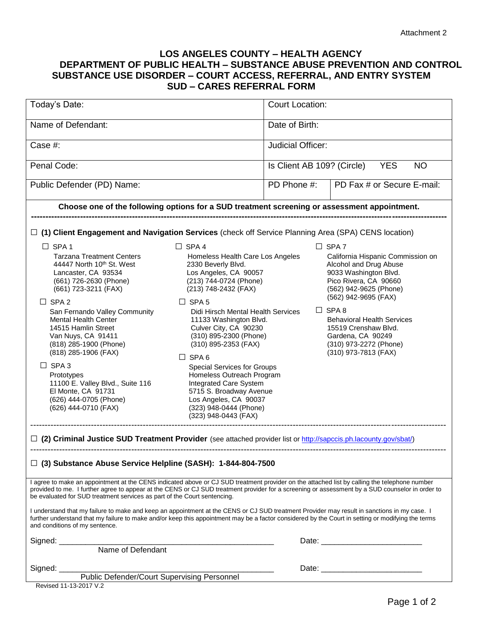## **LOS ANGELES COUNTY – HEALTH AGENCY DEPARTMENT OF PUBLIC HEALTH – SUBSTANCE ABUSE PREVENTION AND CONTROL SUBSTANCE USE DISORDER – COURT ACCESS, REFERRAL, AND ENTRY SYSTEM SUD – CARES REFERRAL FORM**

| Today's Date:                                                                                                                                                                                                                                                                                                                                                                                                                                                                               |                                                                                                                                                                                                                                                                                                                                                                                                                                                                                                                          | <b>Court Location:</b>                                |                                                                                                                                                                                                                                                                                                                                     |
|---------------------------------------------------------------------------------------------------------------------------------------------------------------------------------------------------------------------------------------------------------------------------------------------------------------------------------------------------------------------------------------------------------------------------------------------------------------------------------------------|--------------------------------------------------------------------------------------------------------------------------------------------------------------------------------------------------------------------------------------------------------------------------------------------------------------------------------------------------------------------------------------------------------------------------------------------------------------------------------------------------------------------------|-------------------------------------------------------|-------------------------------------------------------------------------------------------------------------------------------------------------------------------------------------------------------------------------------------------------------------------------------------------------------------------------------------|
| Name of Defendant:                                                                                                                                                                                                                                                                                                                                                                                                                                                                          |                                                                                                                                                                                                                                                                                                                                                                                                                                                                                                                          | Date of Birth:                                        |                                                                                                                                                                                                                                                                                                                                     |
| Case #:                                                                                                                                                                                                                                                                                                                                                                                                                                                                                     |                                                                                                                                                                                                                                                                                                                                                                                                                                                                                                                          | <b>Judicial Officer:</b>                              |                                                                                                                                                                                                                                                                                                                                     |
| Penal Code:                                                                                                                                                                                                                                                                                                                                                                                                                                                                                 |                                                                                                                                                                                                                                                                                                                                                                                                                                                                                                                          | Is Client AB 109? (Circle)<br><b>YES</b><br><b>NO</b> |                                                                                                                                                                                                                                                                                                                                     |
| Public Defender (PD) Name:                                                                                                                                                                                                                                                                                                                                                                                                                                                                  |                                                                                                                                                                                                                                                                                                                                                                                                                                                                                                                          | PD Phone #:                                           | PD Fax # or Secure E-mail:                                                                                                                                                                                                                                                                                                          |
| Choose one of the following options for a SUD treatment screening or assessment appointment.                                                                                                                                                                                                                                                                                                                                                                                                |                                                                                                                                                                                                                                                                                                                                                                                                                                                                                                                          |                                                       |                                                                                                                                                                                                                                                                                                                                     |
| $\Box$ (1) Client Engagement and Navigation Services (check off Service Planning Area (SPA) CENS location)                                                                                                                                                                                                                                                                                                                                                                                  |                                                                                                                                                                                                                                                                                                                                                                                                                                                                                                                          |                                                       |                                                                                                                                                                                                                                                                                                                                     |
| $\Box$ SPA 1<br><b>Tarzana Treatment Centers</b><br>44447 North 10 <sup>th</sup> St. West<br>Lancaster, CA 93534<br>(661) 726-2630 (Phone)<br>(661) 723-3211 (FAX)<br>$\Box$ SPA 2<br>San Fernando Valley Community<br><b>Mental Health Center</b><br>14515 Hamlin Street<br>Van Nuys, CA 91411<br>(818) 285-1900 (Phone)<br>(818) 285-1906 (FAX)<br>$\Box$ SPA 3<br>Prototypes<br>11100 E. Valley Blvd., Suite 116<br>El Monte, CA 91731<br>(626) 444-0705 (Phone)<br>(626) 444-0710 (FAX) | $\Box$ SPA 4<br>Homeless Health Care Los Angeles<br>2330 Beverly Blvd.<br>Los Angeles, CA 90057<br>(213) 744-0724 (Phone)<br>(213) 748-2432 (FAX)<br>$\Box$ SPA 5<br>Didi Hirsch Mental Health Services<br>11133 Washington Blvd.<br>Culver City, CA 90230<br>(310) 895-2300 (Phone)<br>(310) 895-2353 (FAX)<br>$\Box$ SPA 6<br>Special Services for Groups<br>Homeless Outreach Program<br>Integrated Care System<br>5715 S. Broadway Avenue<br>Los Angeles, CA 90037<br>(323) 948-0444 (Phone)<br>(323) 948-0443 (FAX) |                                                       | $\Box$ SPA 7<br>California Hispanic Commission on<br>Alcohol and Drug Abuse<br>9033 Washington Blvd.<br>Pico Rivera, CA 90660<br>(562) 942-9625 (Phone)<br>(562) 942-9695 (FAX)<br>$\Box$ SPA 8<br><b>Behavioral Health Services</b><br>15519 Crenshaw Blvd.<br>Gardena, CA 90249<br>(310) 973-2272 (Phone)<br>(310) 973-7813 (FAX) |
| □ (2) Criminal Justice SUD Treatment Provider (see attached provider list or http://sapccis.ph.lacounty.gov/sbat/)                                                                                                                                                                                                                                                                                                                                                                          |                                                                                                                                                                                                                                                                                                                                                                                                                                                                                                                          |                                                       |                                                                                                                                                                                                                                                                                                                                     |
| □ (3) Substance Abuse Service Helpline (SASH): 1-844-804-7500                                                                                                                                                                                                                                                                                                                                                                                                                               |                                                                                                                                                                                                                                                                                                                                                                                                                                                                                                                          |                                                       |                                                                                                                                                                                                                                                                                                                                     |
| I agree to make an appointment at the CENS indicated above or CJ SUD treatment provider on the attached list by calling the telephone number<br>provided to me. I further agree to appear at the CENS or CJ SUD treatment provider for a screening or assessment by a SUD counselor in order to<br>be evaluated for SUD treatment services as part of the Court sentencing.                                                                                                                 |                                                                                                                                                                                                                                                                                                                                                                                                                                                                                                                          |                                                       |                                                                                                                                                                                                                                                                                                                                     |
| I understand that my failure to make and keep an appointment at the CENS or CJ SUD treatment Provider may result in sanctions in my case. I<br>further understand that my failure to make and/or keep this appointment may be a factor considered by the Court in setting or modifying the terms<br>and conditions of my sentence.                                                                                                                                                          |                                                                                                                                                                                                                                                                                                                                                                                                                                                                                                                          |                                                       |                                                                                                                                                                                                                                                                                                                                     |
|                                                                                                                                                                                                                                                                                                                                                                                                                                                                                             |                                                                                                                                                                                                                                                                                                                                                                                                                                                                                                                          |                                                       |                                                                                                                                                                                                                                                                                                                                     |
|                                                                                                                                                                                                                                                                                                                                                                                                                                                                                             |                                                                                                                                                                                                                                                                                                                                                                                                                                                                                                                          |                                                       |                                                                                                                                                                                                                                                                                                                                     |
| Signed: Public Defender/Court Supervising Personnel                                                                                                                                                                                                                                                                                                                                                                                                                                         |                                                                                                                                                                                                                                                                                                                                                                                                                                                                                                                          |                                                       |                                                                                                                                                                                                                                                                                                                                     |

Revised 11-13-2017 V.2